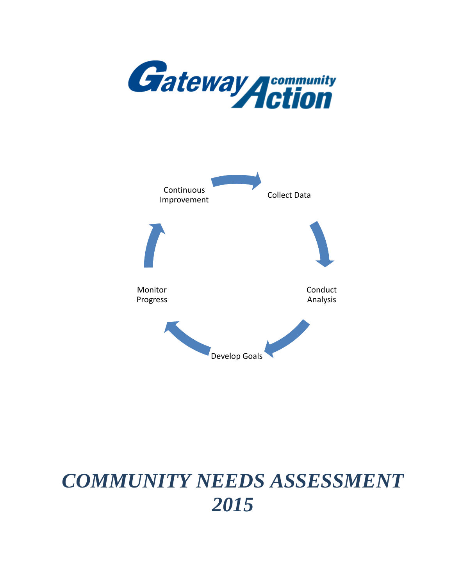



# *COMMUNITY NEEDS ASSESSMENT 2015*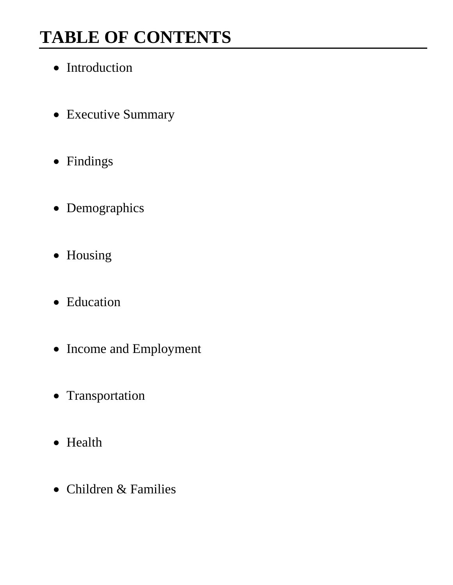# **TABLE OF CONTENTS**

- Introduction
- Executive Summary
- Findings
- Demographics
- Housing
- Education
- Income and Employment
- Transportation
- Health
- Children & Families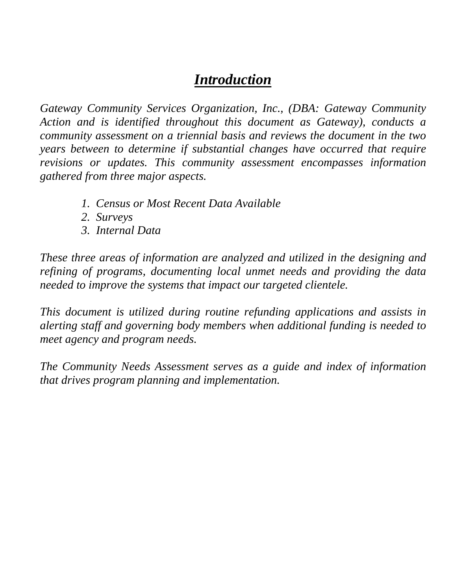## *Introduction*

*Gateway Community Services Organization, Inc., (DBA: Gateway Community Action and is identified throughout this document as Gateway), conducts a community assessment on a triennial basis and reviews the document in the two years between to determine if substantial changes have occurred that require revisions or updates. This community assessment encompasses information gathered from three major aspects.*

- *1. Census or Most Recent Data Available*
- *2. Surveys*
- *3. Internal Data*

*These three areas of information are analyzed and utilized in the designing and refining of programs, documenting local unmet needs and providing the data needed to improve the systems that impact our targeted clientele.* 

*This document is utilized during routine refunding applications and assists in alerting staff and governing body members when additional funding is needed to meet agency and program needs.*

*The Community Needs Assessment serves as a guide and index of information that drives program planning and implementation.*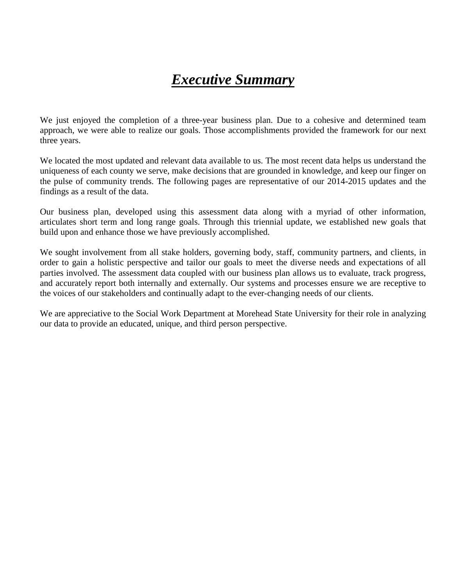## *Executive Summary*

We just enjoyed the completion of a three-year business plan. Due to a cohesive and determined team approach, we were able to realize our goals. Those accomplishments provided the framework for our next three years.

We located the most updated and relevant data available to us. The most recent data helps us understand the uniqueness of each county we serve, make decisions that are grounded in knowledge, and keep our finger on the pulse of community trends. The following pages are representative of our 2014-2015 updates and the findings as a result of the data.

Our business plan, developed using this assessment data along with a myriad of other information, articulates short term and long range goals. Through this triennial update, we established new goals that build upon and enhance those we have previously accomplished.

We sought involvement from all stake holders, governing body, staff, community partners, and clients, in order to gain a holistic perspective and tailor our goals to meet the diverse needs and expectations of all parties involved. The assessment data coupled with our business plan allows us to evaluate, track progress, and accurately report both internally and externally. Our systems and processes ensure we are receptive to the voices of our stakeholders and continually adapt to the ever-changing needs of our clients.

We are appreciative to the Social Work Department at Morehead State University for their role in analyzing our data to provide an educated, unique, and third person perspective.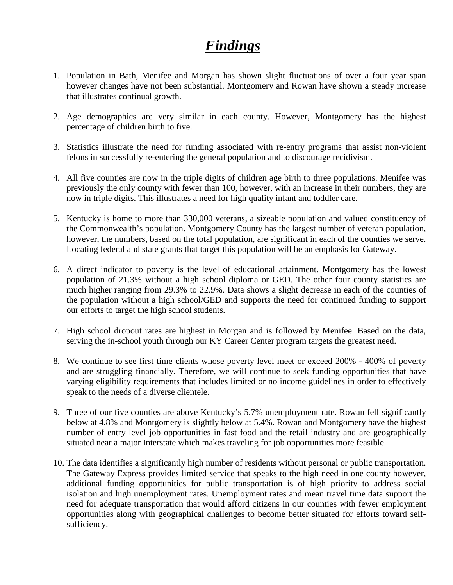## *Findings*

- 1. Population in Bath, Menifee and Morgan has shown slight fluctuations of over a four year span however changes have not been substantial. Montgomery and Rowan have shown a steady increase that illustrates continual growth.
- 2. Age demographics are very similar in each county. However, Montgomery has the highest percentage of children birth to five.
- 3. Statistics illustrate the need for funding associated with re-entry programs that assist non-violent felons in successfully re-entering the general population and to discourage recidivism.
- 4. All five counties are now in the triple digits of children age birth to three populations. Menifee was previously the only county with fewer than 100, however, with an increase in their numbers, they are now in triple digits. This illustrates a need for high quality infant and toddler care.
- 5. Kentucky is home to more than 330,000 veterans, a sizeable population and valued constituency of the Commonwealth's population. Montgomery County has the largest number of veteran population, however, the numbers, based on the total population, are significant in each of the counties we serve. Locating federal and state grants that target this population will be an emphasis for Gateway.
- 6. A direct indicator to poverty is the level of educational attainment. Montgomery has the lowest population of 21.3% without a high school diploma or GED. The other four county statistics are much higher ranging from 29.3% to 22.9%. Data shows a slight decrease in each of the counties of the population without a high school/GED and supports the need for continued funding to support our efforts to target the high school students.
- 7. High school dropout rates are highest in Morgan and is followed by Menifee. Based on the data, serving the in-school youth through our KY Career Center program targets the greatest need.
- 8. We continue to see first time clients whose poverty level meet or exceed 200% 400% of poverty and are struggling financially. Therefore, we will continue to seek funding opportunities that have varying eligibility requirements that includes limited or no income guidelines in order to effectively speak to the needs of a diverse clientele.
- 9. Three of our five counties are above Kentucky's 5.7% unemployment rate. Rowan fell significantly below at 4.8% and Montgomery is slightly below at 5.4%. Rowan and Montgomery have the highest number of entry level job opportunities in fast food and the retail industry and are geographically situated near a major Interstate which makes traveling for job opportunities more feasible.
- 10. The data identifies a significantly high number of residents without personal or public transportation. The Gateway Express provides limited service that speaks to the high need in one county however, additional funding opportunities for public transportation is of high priority to address social isolation and high unemployment rates. Unemployment rates and mean travel time data support the need for adequate transportation that would afford citizens in our counties with fewer employment opportunities along with geographical challenges to become better situated for efforts toward selfsufficiency.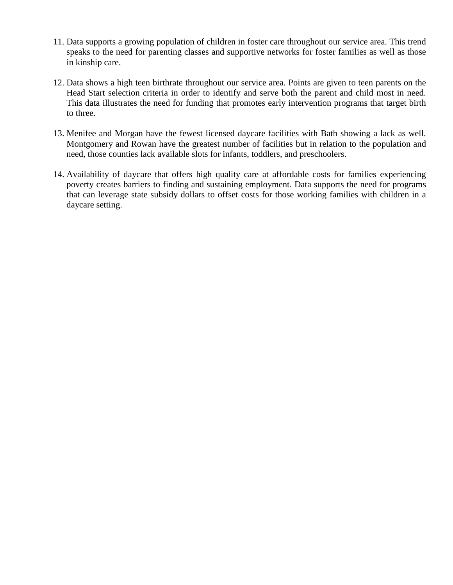- 11. Data supports a growing population of children in foster care throughout our service area. This trend speaks to the need for parenting classes and supportive networks for foster families as well as those in kinship care.
- 12. Data shows a high teen birthrate throughout our service area. Points are given to teen parents on the Head Start selection criteria in order to identify and serve both the parent and child most in need. This data illustrates the need for funding that promotes early intervention programs that target birth to three.
- 13. Menifee and Morgan have the fewest licensed daycare facilities with Bath showing a lack as well. Montgomery and Rowan have the greatest number of facilities but in relation to the population and need, those counties lack available slots for infants, toddlers, and preschoolers.
- 14. Availability of daycare that offers high quality care at affordable costs for families experiencing poverty creates barriers to finding and sustaining employment. Data supports the need for programs that can leverage state subsidy dollars to offset costs for those working families with children in a daycare setting.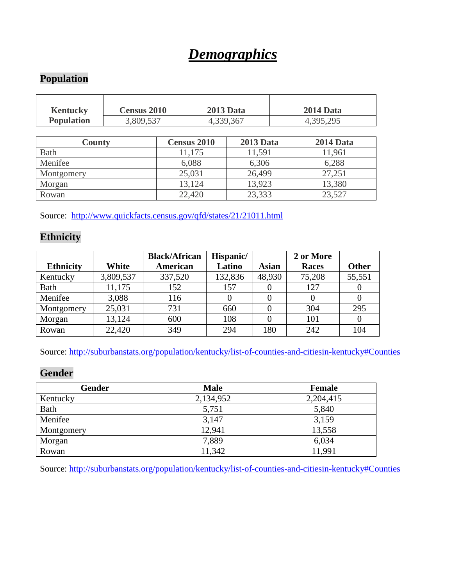## *Demographics*

## **Population**

| <b>Kentucky</b>   | <b>Census 2010</b> | <b>2013 Data</b> | <b>2014 Data</b> |
|-------------------|--------------------|------------------|------------------|
| <b>Population</b> | 3,809,537          | 4,339,367        | 4,395,295        |

| County      | <b>Census 2010</b> | <b>2013 Data</b> | <b>2014 Data</b> |
|-------------|--------------------|------------------|------------------|
| <b>Bath</b> | 11,175             | 11,591           | 11,961           |
| Menifee     | 6,088              | 6,306            | 6,288            |
| Montgomery  | 25,031             | 26,499           | 27,251           |
| Morgan      | 13,124             | 13,923           | 13,380           |
| Rowan       | 22,420             | 23,333           | 23,527           |

Source: <http://www.quickfacts.census.gov/qfd/states/21/21011.html>

## **Ethnicity**

|                  |           | <b>Black/African</b> | Hispanic/ |              | 2 or More |              |
|------------------|-----------|----------------------|-----------|--------------|-----------|--------------|
| <b>Ethnicity</b> | White     | American             | Latino    | <b>Asian</b> | Races     | <b>Other</b> |
| Kentucky         | 3,809,537 | 337,520              | 132,836   | 48,930       | 75,208    | 55,551       |
| Bath             | 11,175    | 152                  | 157       |              | 127       |              |
| Menifee          | 3,088     | 116                  |           |              |           |              |
| Montgomery       | 25,031    | 731                  | 660       |              | 304       | 295          |
| Morgan           | 13,124    | 600                  | 108       |              | 101       |              |
| Rowan            | 22,420    | 349                  | 294       | 180          | 242       | 104          |

Source:<http://suburbanstats.org/population/kentucky/list-of-counties-and-citiesin-kentucky#Counties>

## **Gender**

| Gender      | <b>Male</b> | <b>Female</b> |
|-------------|-------------|---------------|
| Kentucky    | 2,134,952   | 2,204,415     |
| <b>Bath</b> | 5,751       | 5,840         |
| Menifee     | 3,147       | 3,159         |
| Montgomery  | 12,941      | 13,558        |
| Morgan      | 7,889       | 6,034         |
| Rowan       | 11,342      | 11,991        |

Source:<http://suburbanstats.org/population/kentucky/list-of-counties-and-citiesin-kentucky#Counties>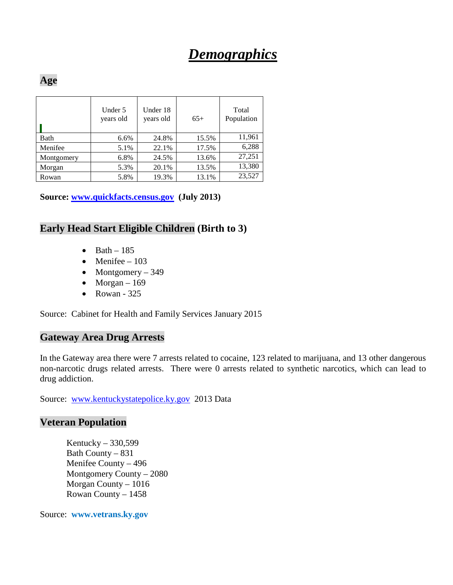## *Demographics*

## **Age**

|            | Under 5<br>years old | Under 18<br>years old | $65+$ | Total<br>Population |
|------------|----------------------|-----------------------|-------|---------------------|
| Bath       | 6.6%                 | 24.8%                 | 15.5% | 11,961              |
| Menifee    | 5.1%                 | 22.1%                 | 17.5% | 6,288               |
| Montgomery | 6.8%                 | 24.5%                 | 13.6% | 27,251              |
| Morgan     | 5.3%                 | 20.1%                 | 13.5% | 13,380              |
| Rowan      | 5.8%                 | 19.3%                 | 13.1% | 23,527              |

**Source: [www.quickfacts.census.gov](http://www.quickfacts.census.gov/) (July 2013)**

## **Early Head Start Eligible Children (Birth to 3)**

- Bath  $-185$
- Menifee  $103$
- Montgomery  $-349$
- Morgan  $169$
- Rowan  $325$

Source: Cabinet for Health and Family Services January 2015

#### **Gateway Area Drug Arrests**

In the Gateway area there were 7 arrests related to cocaine, 123 related to marijuana, and 13 other dangerous non-narcotic drugs related arrests. There were 0 arrests related to synthetic narcotics, which can lead to drug addiction.

Source: [www.kentuckystatepolice.ky.gov](http://www.kentuckystatepolice.ky.gov/) 2013 Data

#### **Veteran Population**

Kentucky – 330,599 Bath County – 831 Menifee County – 496 Montgomery County – 2080 Morgan County – 1016 Rowan County – 1458

Source: **www.vetrans.ky.gov**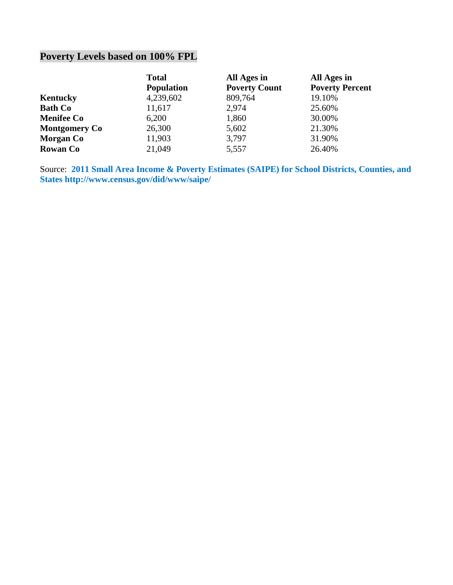## **Poverty Levels based on 100% FPL**

|                      | <b>Total</b>      | All Ages in          | All Ages in            |
|----------------------|-------------------|----------------------|------------------------|
|                      | <b>Population</b> | <b>Poverty Count</b> | <b>Poverty Percent</b> |
| Kentucky             | 4,239,602         | 809,764              | 19.10%                 |
| <b>Bath Co</b>       | 11,617            | 2,974                | 25.60%                 |
| <b>Menifee Co</b>    | 6,200             | 1,860                | 30.00%                 |
| <b>Montgomery Co</b> | 26,300            | 5,602                | 21.30%                 |
| Morgan Co            | 11,903            | 3,797                | 31.90%                 |
| <b>Rowan Co</b>      | 21,049            | 5,557                | 26.40%                 |

Source: **2011 Small Area Income & Poverty Estimates (SAIPE) for School Districts, Counties, and States http://www.census.gov/did/www/saipe/**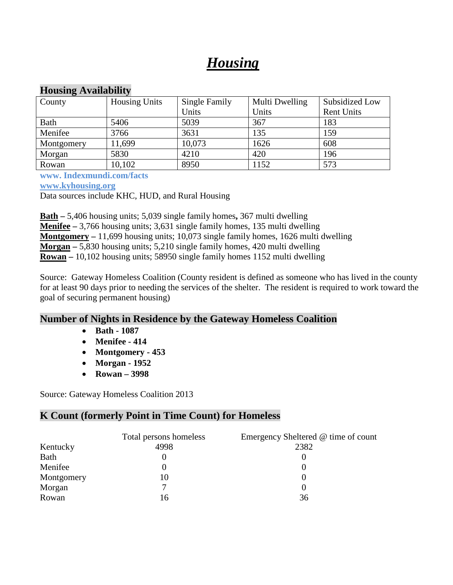## *Housing*

## **Housing Availability**

| ັ<br>County | <b>Housing Units</b> | Single Family | Multi Dwelling | Subsidized Low    |
|-------------|----------------------|---------------|----------------|-------------------|
|             |                      | Units         | Units          | <b>Rent Units</b> |
| Bath        | 5406                 | 5039          | 367            | 183               |
| Menifee     | 3766                 | 3631          | 135            | 159               |
| Montgomery  | 11,699               | 10,073        | 1626           | 608               |
| Morgan      | 5830                 | 4210          | 420            | 196               |
| Rowan       | 10,102               | 8950          | 1152           | 573               |

**www. Indexmundi.com/facts**

**[www.kyhousing.org](http://www.kyhousing.org/)**

Data sources include KHC, HUD, and Rural Housing

**Bath –** 5,406 housing units; 5,039 single family homes**,** 367 multi dwelling **Menifee –** 3,766 housing units; 3,631 single family homes, 135 multi dwelling **Montgomery –** 11,699 housing units; 10,073 single family homes, 1626 multi dwelling **Morgan –** 5,830 housing units; 5,210 single family homes, 420 multi dwelling **Rowan –** 10,102 housing units; 58950 single family homes 1152 multi dwelling

Source: Gateway Homeless Coalition (County resident is defined as someone who has lived in the county for at least 90 days prior to needing the services of the shelter. The resident is required to work toward the goal of securing permanent housing)

### **Number of Nights in Residence by the Gateway Homeless Coalition**

- **Bath - 1087**
- **Menifee - 414**
- **Montgomery - 453**
- **Morgan - 1952**
- **Rowan – 3998**

Source: Gateway Homeless Coalition 2013

### **K Count (formerly Point in Time Count) for Homeless**

|            | Total persons homeless | Emergency Sheltered @ time of count |
|------------|------------------------|-------------------------------------|
| Kentucky   | 4998                   | 2382                                |
| Bath       |                        |                                     |
| Menifee    |                        |                                     |
| Montgomery | 10                     |                                     |
| Morgan     |                        |                                     |
| Rowan      | 16                     | 36                                  |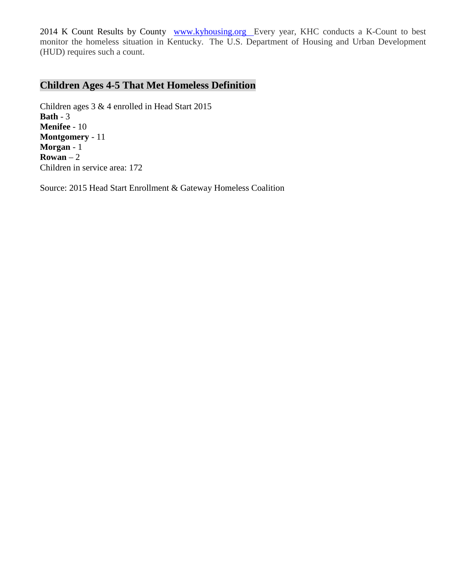2014 K Count Results by County [www.kyhousing.org](http://www.kyhousing.org/) Every year, KHC conducts a K-Count to best monitor the homeless situation in Kentucky. The U.S. Department of Housing and Urban Development (HUD) requires such a count.

## **Children Ages 4-5 That Met Homeless Definition**

Children ages 3 & 4 enrolled in Head Start 2015 **Bath** - 3 **Menifee** - 10 **Montgomery** - 11 **Morgan** - 1 **Rowan** – 2 Children in service area: 172

Source: 2015 Head Start Enrollment & Gateway Homeless Coalition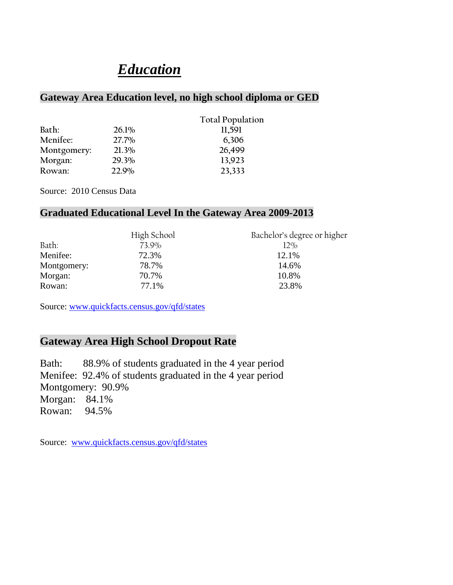## *Education*

### **Gateway Area Education level, no high school diploma or GED**

|       | <b>Total Population</b> |
|-------|-------------------------|
| 26.1% | 11,591                  |
| 27.7% | 6,306                   |
| 21.3% | 26,499                  |
| 29.3% | 13,923                  |
| 22.9% | 23,333                  |
|       |                         |

Source: 2010 Census Data

## **Graduated Educational Level In the Gateway Area 2009-2013**

|             | High School | Bachelor's degree or higher |
|-------------|-------------|-----------------------------|
| Bath:       | 73.9%       | 12%                         |
| Menifee:    | 72.3%       | 12.1%                       |
| Montgomery: | 78.7%       | 14.6%                       |
| Morgan:     | 70.7%       | 10.8%                       |
| Rowan:      | 77.1%       | 23.8%                       |

Source: [www.quickfacts.census.gov/qfd/states](http://www.quickfacts.census.gov/qfd/states)

## **Gateway Area High School Dropout Rate**

Bath: 88.9% of students graduated in the 4 year period Menifee: 92.4% of students graduated in the 4 year period Montgomery: 90.9% Morgan: 84.1% Rowan: 94.5%

Source: [www.quickfacts.census.gov/qfd/states](http://www.quickfacts.census.gov/qfd/states)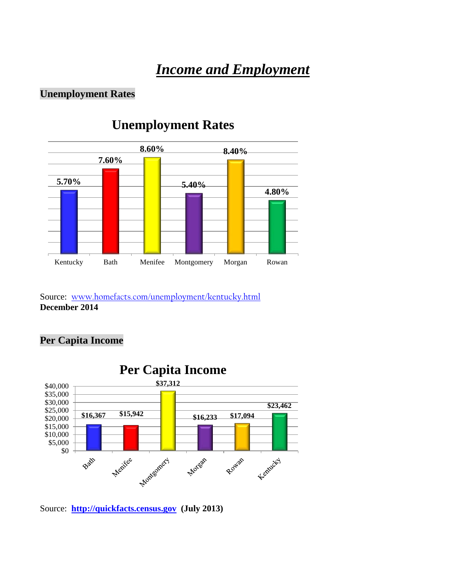## *Income and Employment*

## **Unemployment Rates**



## **Unemployment Rates**

Source: [www.homefacts.com/unemployment/kentucky.html](http://www.homefacts.com/unemployment/kentucky.html) **December 2014**

## **Per Capita Income**



Source: **[http://quickfacts.census.gov](http://quickfacts.census.gov/) (July 2013)**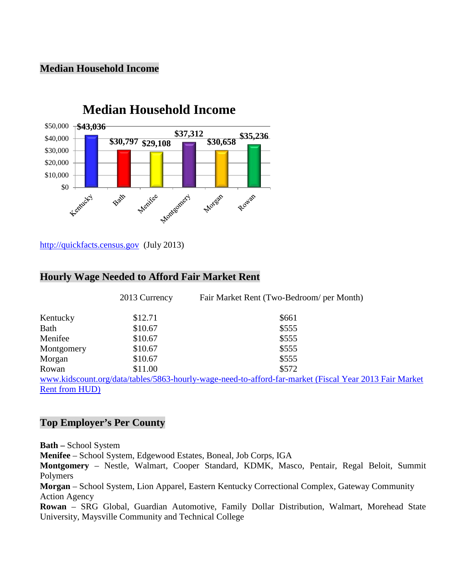## **Median Household Income**



[http://quickfacts.census.gov](http://quickfacts.census.gov/) (July 2013)

#### **Hourly Wage Needed to Afford Fair Market Rent**

|                        | 2013 Currency | Fair Market Rent (Two-Bedroom/ per Month)                                                              |
|------------------------|---------------|--------------------------------------------------------------------------------------------------------|
| Kentucky               | \$12.71       | \$661                                                                                                  |
| Bath                   | \$10.67       | \$555                                                                                                  |
| Menifee                | \$10.67       | \$555                                                                                                  |
| Montgomery             | \$10.67       | \$555                                                                                                  |
| Morgan                 | \$10.67       | \$555                                                                                                  |
| Rowan                  | \$11.00       | \$572                                                                                                  |
|                        |               | www.kidscount.org/data/tables/5863-hourly-wage-need-to-afford-far-market (Fiscal Year 2013 Fair Market |
| <b>Rent from HUD</b> ) |               |                                                                                                        |

### **Top Employer's Per County**

**Bath –** School System

**Menifee** – School System, Edgewood Estates, Boneal, Job Corps, IGA

**Montgomery** – Nestle, Walmart, Cooper Standard, KDMK, Masco, Pentair, Regal Beloit, Summit Polymers

**Morgan** – School System, Lion Apparel, Eastern Kentucky Correctional Complex, Gateway Community Action Agency

**Rowan** – SRG Global, Guardian Automotive, Family Dollar Distribution, Walmart, Morehead State University, Maysville Community and Technical College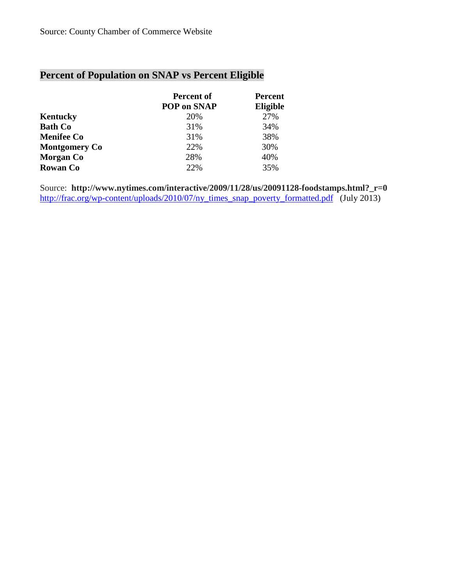## **Percent of Population on SNAP vs Percent Eligible**

|                      | Percent of<br><b>POP on SNAP</b> | <b>Percent</b><br>Eligible |
|----------------------|----------------------------------|----------------------------|
| Kentucky             | 20%                              | 27%                        |
| <b>Bath Co</b>       | 31%                              | 34%                        |
| <b>Menifee Co</b>    | 31%                              | 38%                        |
| <b>Montgomery Co</b> | 22%                              | 30%                        |
| <b>Morgan</b> Co     | 28%                              | 40%                        |
| <b>Rowan Co</b>      | 22%                              | 35%                        |

Source: **http://www.nytimes.com/interactive/2009/11/28/us/20091128-foodstamps.html?\_r=0** [http://frac.org/wp-content/uploads/2010/07/ny\\_times\\_snap\\_poverty\\_formatted.pdf](http://frac.org/wp-content/uploads/2010/07/ny_times_snap_poverty_formatted.pdf) (July 2013)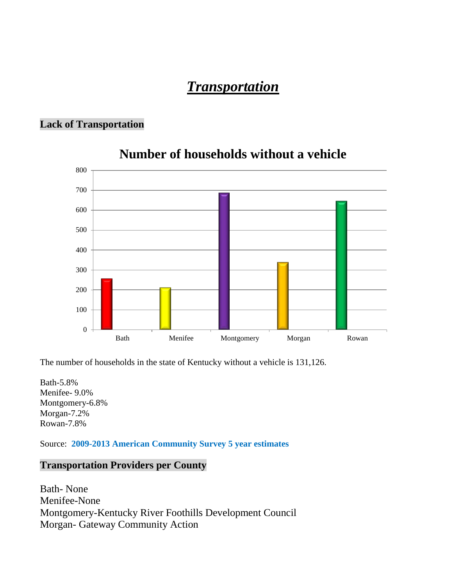## *Transportation*

## **Lack of Transportation**



## **Number of households without a vehicle**

The number of households in the state of Kentucky without a vehicle is 131,126.

Bath-5.8% Menifee- 9.0% Montgomery-6.8% Morgan-7.2% Rowan-7.8%

Source: **2009-2013 American Community Survey 5 year estimates**

## **Transportation Providers per County**

Bath- None Menifee-None Montgomery-Kentucky River Foothills Development Council Morgan- Gateway Community Action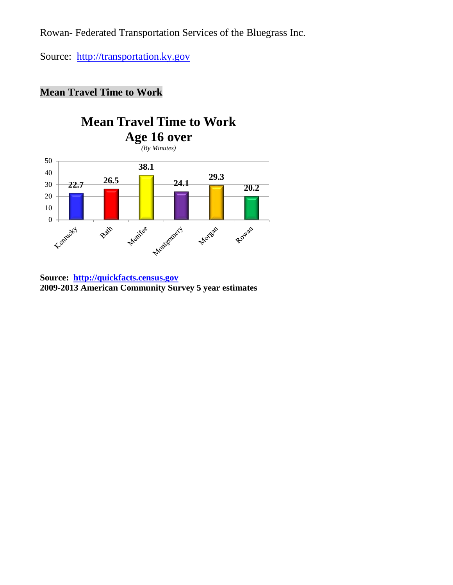Rowan- Federated Transportation Services of the Bluegrass Inc.

Source: [http://transportation.ky.gov](http://transportation.ky.gov/)

## **Mean Travel Time to Work**



**Source: [http://quickfacts.census.gov](http://quickfacts.census.gov/) 2009-2013 American Community Survey 5 year estimates**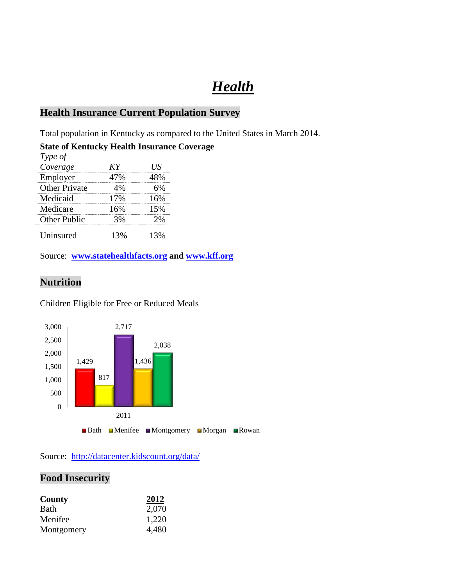## *Health*

### **Health Insurance Current Population Survey**

Total population in Kentucky as compared to the United States in March 2014.

#### **State of Kentucky Health Insurance Coverage**

| Type of              |     |     |
|----------------------|-----|-----|
| Coverage             | KY  | US  |
| Employer             | 47% | 48% |
| <b>Other Private</b> | 4%  | 6%  |
| Medicaid             | 17% | 16% |
| Medicare             | 16% | 15% |
| Other Public         | 3%  | 2%  |
| Uninsured            | 13% | 13% |

Source: **[www.statehealthfacts.org](http://www.statehealthfacts.org/) and [www.kff.org](http://www.kff.org/)**

## **Nutrition**

Children Eligible for Free or Reduced Meals



Source: <http://datacenter.kidscount.org/data/>

## **Food Insecurity**

| County      | 2012  |
|-------------|-------|
| <b>Bath</b> | 2,070 |
| Menifee     | 1,220 |
| Montgomery  | 4,480 |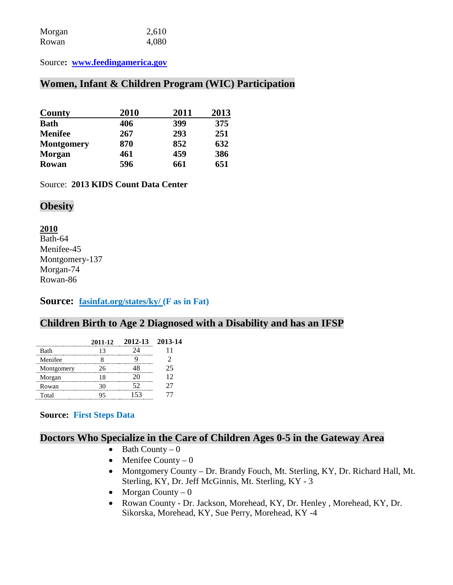| Morgan | 2,610 |
|--------|-------|
| Rowan  | 4,080 |

Source**: [www.feedingamerica.gov](http://www.feedingamerica.gov/)**

## **Women, Infant & Children Program (WIC) Participation**

| County            | 2010 | 2011 | 2013 |
|-------------------|------|------|------|
| <b>Bath</b>       | 406  | 399  | 375  |
| <b>Menifee</b>    | 267  | 293  | 251  |
| <b>Montgomery</b> | 870  | 852  | 632  |
| <b>Morgan</b>     | 461  | 459  | 386  |
| Rowan             | 596  | 661  | 651  |

Source:**2013 KIDS Count Data Center**

### **Obesity**

**2010** Bath-64 Menifee-45 Montgomery-137 Morgan-74 Rowan-86

#### **Source: fasinfat.org/states/ky/ (F as in Fat)**

### **Children Birth to Age 2 Diagnosed with a Disability and has an IFSP**

|            | 2011-12 | 2012-13 | 2013-14 |
|------------|---------|---------|---------|
| Bath       | 13      | 24      |         |
| Menifee    |         |         |         |
| Montgomery | 26      |         | 25      |
| Morgan     | 18      | 20      | 12      |
| Rowan      | 30      | 52      | 27      |
| Total      |         | 153     |         |

#### **Source: First Steps Data**

## **Doctors Who Specialize in the Care of Children Ages 0-5 in the Gateway Area**

- Bath County  $-0$
- Menifee County  $-0$
- Montgomery County Dr. Brandy Fouch, Mt. Sterling, KY, Dr. Richard Hall, Mt. Sterling, KY, Dr. Jeff McGinnis, Mt. Sterling, KY - 3
- Morgan County  $-0$
- Rowan County Dr. Jackson, Morehead, KY, Dr. Henley , Morehead, KY, Dr. Sikorska, Morehead, KY, Sue Perry, Morehead, KY -4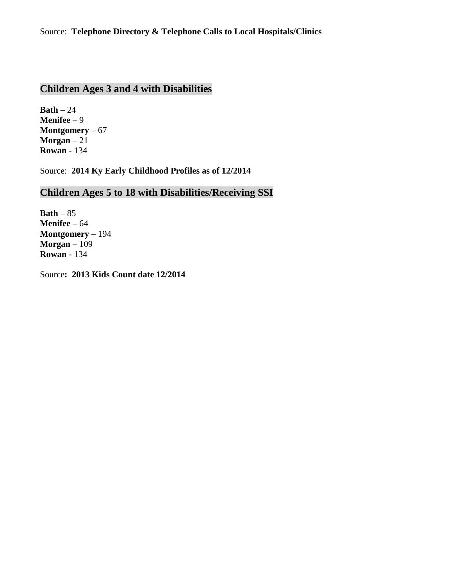#### Source: **Telephone Directory & Telephone Calls to Local Hospitals/Clinics**

## **Children Ages 3 and 4 with Disabilities**

**Bath** – 24 **Menifee** – 9 **Montgomery** – 67 **Morgan** – 21 **Rowan** - 134

Source: **2014 Ky Early Childhood Profiles as of 12/2014**

**Children Ages 5 to 18 with Disabilities/Receiving SSI**

**Bath** – 85 **Menifee** – 64 **Montgomery** – 194 **Morgan** – 109 **Rowan** - 134

Source**: 2013 Kids Count date 12/2014**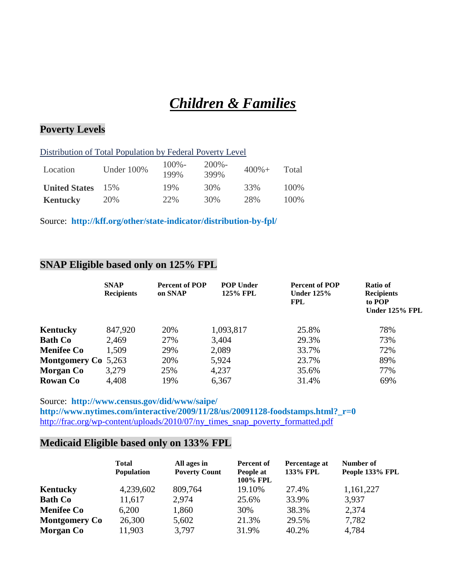## *Children & Families*

## **Poverty Levels**

|                      | Distribution of Total Population by Federal Poverty Level |                   |                  |          |       |
|----------------------|-----------------------------------------------------------|-------------------|------------------|----------|-------|
| Location             | <b>Under 100%</b>                                         | $100\%$ –<br>199% | $200% -$<br>399% | $400% +$ | Total |
| <b>United States</b> | 15%                                                       | 19%               | 30%              | 33%      | 100%  |
| <b>Kentucky</b>      | 20%                                                       | 22%               | 30%              | 2.8%     | 100\% |

Source: **http://kff.org/other/state-indicator/distribution-by-fpl/**

## **SNAP Eligible based only on 125% FPL**

|                            | <b>SNAP</b><br><b>Recipients</b> | <b>Percent of POP</b><br>on SNAP | <b>POP Under</b><br>125% FPL | <b>Percent of POP</b><br>Under $125%$<br><b>FPL</b> | <b>Ratio of</b><br><b>Recipients</b><br>to POP<br>Under 125% FPL |
|----------------------------|----------------------------------|----------------------------------|------------------------------|-----------------------------------------------------|------------------------------------------------------------------|
| <b>Kentucky</b>            | 847,920                          | 20%                              | 1,093,817                    | 25.8%                                               | 78%                                                              |
| <b>Bath Co</b>             | 2,469                            | 27%                              | 3,404                        | 29.3%                                               | 73%                                                              |
| <b>Menifee Co</b>          | 1,509                            | 29%                              | 2,089                        | 33.7%                                               | 72%                                                              |
| <b>Montgomery Co</b> 5,263 |                                  | 20%                              | 5,924                        | 23.7%                                               | 89%                                                              |
| <b>Morgan</b> Co           | 3,279                            | 25%                              | 4,237                        | 35.6%                                               | 77%                                                              |
| <b>Rowan</b> Co            | 4,408                            | 19%                              | 6,367                        | 31.4%                                               | 69%                                                              |

Source: **http://www.census.gov/did/www/saipe/ http://www.nytimes.com/interactive/2009/11/28/us/20091128-foodstamps.html?\_r=0** [http://frac.org/wp-content/uploads/2010/07/ny\\_times\\_snap\\_poverty\\_formatted.pdf](http://frac.org/wp-content/uploads/2010/07/ny_times_snap_poverty_formatted.pdf)

## **Medicaid Eligible based only on 133% FPL**

|                      | <b>Total</b><br><b>Population</b> | All ages in<br><b>Poverty Count</b> | <b>Percent of</b><br>People at<br><b>100% FPL</b> | Percentage at<br><b>133% FPL</b> | Number of<br>People 133% FPL |
|----------------------|-----------------------------------|-------------------------------------|---------------------------------------------------|----------------------------------|------------------------------|
| Kentucky             | 4,239,602                         | 809,764                             | 19.10%                                            | 27.4%                            | 1,161,227                    |
| <b>Bath Co</b>       | 11,617                            | 2,974                               | 25.6%                                             | 33.9%                            | 3,937                        |
| <b>Menifee Co</b>    | 6,200                             | 1,860                               | 30%                                               | 38.3%                            | 2,374                        |
| <b>Montgomery Co</b> | 26,300                            | 5,602                               | 21.3%                                             | 29.5%                            | 7,782                        |
| <b>Morgan</b> Co     | 11,903                            | 3,797                               | 31.9%                                             | 40.2%                            | 4,784                        |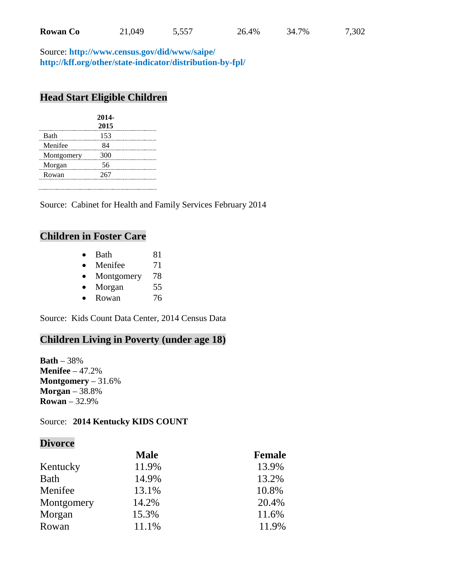Source: **http://www.census.gov/did/www/saipe/ http://kff.org/other/state-indicator/distribution-by-fpl/**

## **Head Start Eligible Children**

|             | 2014-<br>2015 |  |
|-------------|---------------|--|
| <b>Bath</b> | 153           |  |
| Menifee     | 84            |  |
| Montgomery  | 300           |  |
| Morgan      | 56            |  |
| Rowan       | 267           |  |
|             |               |  |

Source: Cabinet for Health and Family Services February 2014

### **Children in Foster Care**

- Bath 81
- Menifee 71
- Montgomery 78
- Morgan 55
- Rowan 76

Source: Kids Count Data Center, 2014 Census Data

### **Children Living in Poverty (under age 18)**

**Bath** – 38% **Menifee** – 47.2% **Montgomery** – 31.6% **Morgan** – 38.8% **Rowan** – 32.9%

#### Source: **2014 Kentucky KIDS COUNT**

#### **Divorce**

|             | <b>Male</b> | <b>Female</b> |
|-------------|-------------|---------------|
| Kentucky    | 11.9%       | 13.9%         |
| <b>Bath</b> | 14.9%       | 13.2%         |
| Menifee     | 13.1%       | 10.8%         |
| Montgomery  | 14.2%       | 20.4%         |
| Morgan      | 15.3%       | 11.6%         |
| Rowan       | 11.1%       | 11.9%         |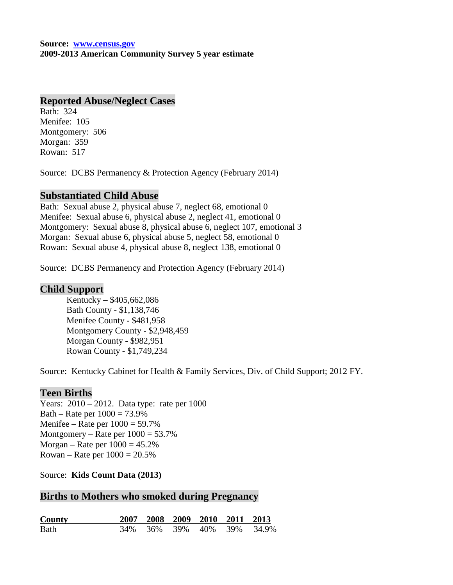**Source: [www.census.gov](http://www.census.gov/) 2009-2013 American Community Survey 5 year estimate** 

#### **Reported Abuse/Neglect Cases**

Bath: 324 Menifee: 105 Montgomery: 506 Morgan: 359 Rowan: 517

Source: DCBS Permanency & Protection Agency (February 2014)

#### **Substantiated Child Abuse**

Bath: Sexual abuse 2, physical abuse 7, neglect 68, emotional 0 Menifee: Sexual abuse 6, physical abuse 2, neglect 41, emotional 0 Montgomery: Sexual abuse 8, physical abuse 6, neglect 107, emotional 3 Morgan: Sexual abuse 6, physical abuse 5, neglect 58, emotional 0 Rowan: Sexual abuse 4, physical abuse 8, neglect 138, emotional 0

Source: DCBS Permanency and Protection Agency (February 2014)

#### **Child Support**

Kentucky – \$405,662,086 Bath County - \$1,138,746 Menifee County - \$481,958 Montgomery County - \$2,948,459 Morgan County - \$982,951 Rowan County - \$1,749,234

Source: Kentucky Cabinet for Health & Family Services, Div. of Child Support; 2012 FY.

#### **Teen Births**

Years: 2010 – 2012. Data type: rate per 1000 Bath – Rate per 1000 = 73.9% Menifee – Rate per  $1000 = 59.7\%$ Montgomery – Rate per  $1000 = 53.7\%$ Morgan – Rate per  $1000 = 45.2\%$ Rowan – Rate per  $1000 = 20.5%$ 

Source: **Kids Count Data (2013)**

#### **Births to Mothers who smoked during Pregnancy**

| <b>County</b> |  | 2007 2008 2009 2010 2011 2013 |                                 |
|---------------|--|-------------------------------|---------------------------------|
| Bath          |  |                               | 34\% 36\% 39\% 40\% 39\% 34.9\% |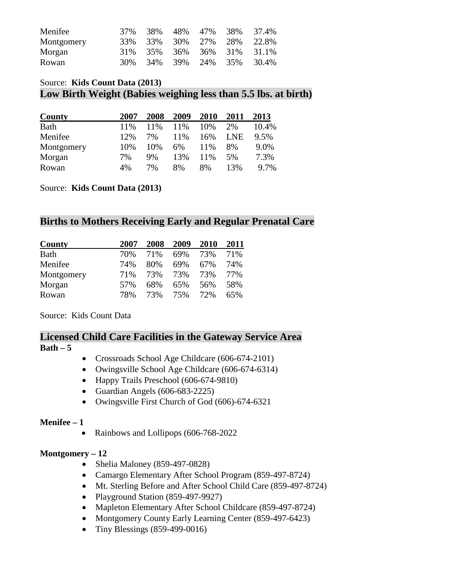| Menifee    |  |                          | 37\% 38\% 48\% 47\% 38\% 37.4\% |       |
|------------|--|--------------------------|---------------------------------|-------|
| Montgomery |  |                          | 33\% 33\% 30\% 27\% 28\% 22.8\% |       |
| Morgan     |  |                          | 31\% 35\% 36\% 36\% 31\% 31.1\% |       |
| Rowan      |  | 30\% 34\% 39\% 24\% 35\% |                                 | 30.4% |

#### Source: **Kids Count Data (2013) Low Birth Weight (Babies weighing less than 5.5 lbs. at birth)**

| County      | 2007 | 2008 | 2009 | 2010 | 2011 | 2013  |
|-------------|------|------|------|------|------|-------|
| <b>Bath</b> | 11%  | 11%  | 11%  | 10%  | 2%   | 10.4% |
| Menifee     | 12%  | 7%   | 11%  | 16%  | LNE  | 9.5%  |
| Montgomery  | 10%  | 10%  | 6%   | 11%  | 8%   | 9.0%  |
| Morgan      | 7%   | 9%   | 13%  | 11%  | 5%   | 7.3%  |
| Rowan       | 4%   | 7%   | 8%   | 8%   | 13%  | 9.7%  |

Source: **Kids Count Data (2013)**

### **Births to Mothers Receiving Early and Regular Prenatal Care**

| County     | 2007 | 2008 | 2009 | 2010 | 2011 |
|------------|------|------|------|------|------|
| Bath       | 70%  | 71%  | 69%  | 73%  | 71%  |
| Menifee    | 74%  | 80%  | 69%  | 67%  | 74%  |
| Montgomery | 71%  | 73%  | 73%  | 73%  | 77%  |
| Morgan     | 57%  | 68%  | 65%  | 56%  | 58%  |
| Rowan      | 78%  | 73%  | 75%  | 72%  | 65%  |

Source: Kids Count Data

#### **Licensed Child Care Facilities in the Gateway Service Area Bath – 5**

- Crossroads School Age Childcare (606-674-2101)
- Owingsville School Age Childcare (606-674-6314)
- Happy Trails Preschool (606-674-9810)
- Guardian Angels (606-683-2225)
- Owingsville First Church of God (606)-674-6321

#### **Menifee – 1**

• Rainbows and Lollipops (606-768-2022)

#### **Montgomery – 12**

- Shelia Maloney (859-497-0828)
- Camargo Elementary After School Program (859-497-8724)
- Mt. Sterling Before and After School Child Care (859-497-8724)
- Playground Station (859-497-9927)
- Mapleton Elementary After School Childcare (859-497-8724)
- Montgomery County Early Learning Center (859-497-6423)
- Tiny Blessings (859-499-0016)